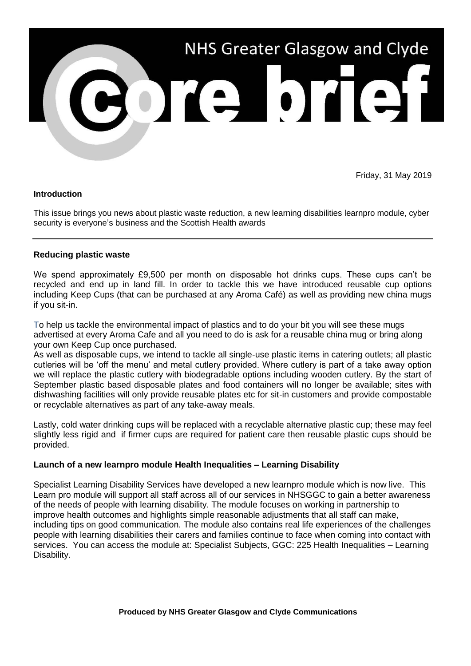

Friday, 31 May 2019

#### **Introduction**

This issue brings you news about plastic waste reduction, a new learning disabilities learnpro module, cyber security is everyone's business and the Scottish Health awards

#### **Reducing plastic waste**

We spend approximately £9,500 per month on disposable hot drinks cups. These cups can't be recycled and end up in land fill. In order to tackle this we have introduced reusable cup options including Keep Cups (that can be purchased at any Aroma Café) as well as providing new china mugs if you sit-in.

To help us tackle the environmental impact of plastics and to do your bit you will see these mugs advertised at every Aroma Cafe and all you need to do is ask for a reusable china mug or bring along your own Keep Cup once purchased.

As well as disposable cups, we intend to tackle all single-use plastic items in catering outlets; all plastic cutleries will be 'off the menu' and metal cutlery provided. Where cutlery is part of a take away option we will replace the plastic cutlery with biodegradable options including wooden cutlery. By the start of September plastic based disposable plates and food containers will no longer be available; sites with dishwashing facilities will only provide reusable plates etc for sit-in customers and provide compostable or recyclable alternatives as part of any take-away meals.

Lastly, cold water drinking cups will be replaced with a recyclable alternative plastic cup; these may feel slightly less rigid and if firmer cups are required for patient care then reusable plastic cups should be provided.

# **Launch of a new learnpro module Health Inequalities – Learning Disability**

Specialist Learning Disability Services have developed a new learnpro module which is now live. This Learn pro module will support all staff across all of our services in NHSGGC to gain a better awareness of the needs of people with learning disability. The module focuses on working in partnership to improve health outcomes and highlights simple reasonable adjustments that all staff can make, including tips on good communication. The module also contains real life experiences of the challenges people with learning disabilities their carers and families continue to face when coming into contact with services. You can access the module at: Specialist Subjects, GGC: 225 Health Inequalities – Learning Disability.